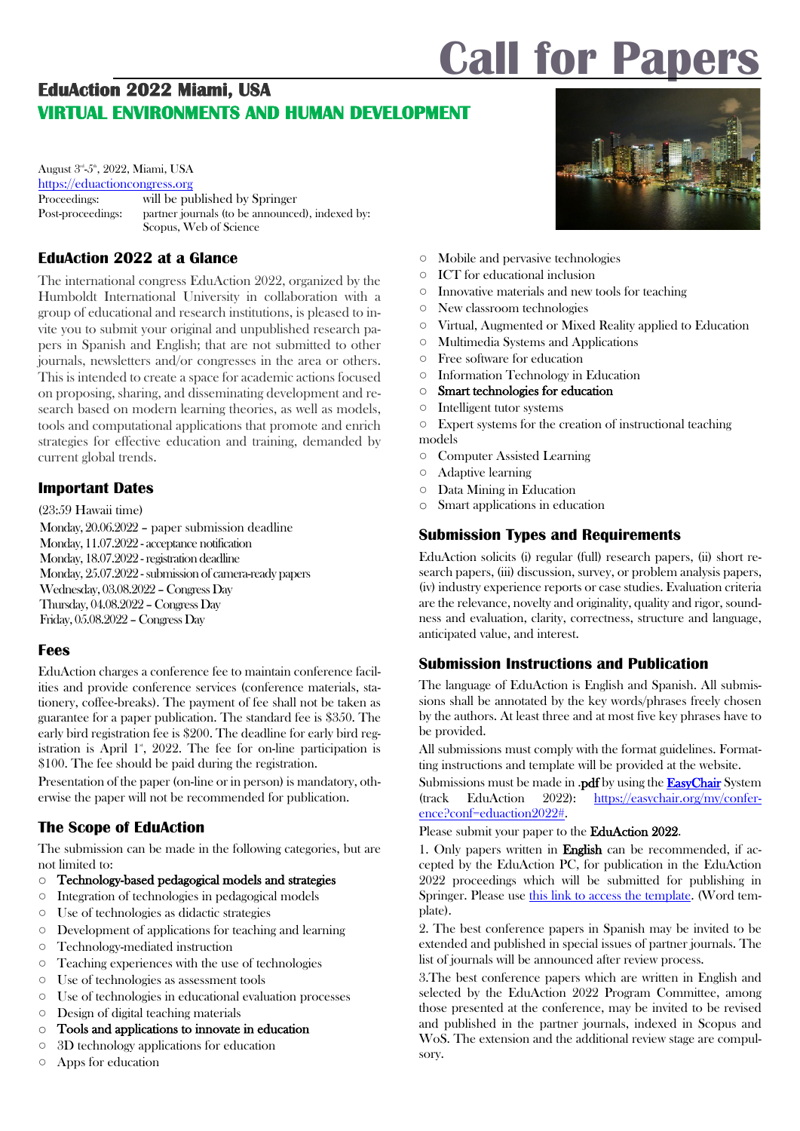# **Call for Papers**

# **EduAction 2022 Miami, USA VIRTUAL ENVIRONMENTS AND HUMAN DEVELOPMENT**

August 3<sup>rd</sup>-5<sup>th</sup>, 2022, Miami, USA [https://eduactioncongress.org](https://eduactioncongress.org/) Proceedings: will be published by Springer Post-proceedings: partner journals (to be announced), indexed by: [Scopus,](http://www.scopus.com/) Web of Science

## **EduAction 2022 at a Glance**

The international congress EduAction 2022, organized by the Humboldt International University in collaboration with a group of educational and research institutions, is pleased to invite you to submit your original and unpublished research papers in Spanish and English; that are not submitted to other journals, newsletters and/or congresses in the area or others. This is intended to create a space for academic actions focused on proposing, sharing, and disseminating development and research based on modern learning theories, as well as models, tools and computational applications that promote and enrich strategies for effective education and training, demanded by current global trends.

## **Important Dates**

(23:59 Hawaii time) Monday, 20.06.2022 – paper submission deadline Monday, 11.07.2022 - acceptance notification Monday, 18.07.2022 - registration deadline Monday, 25.07.2022 - submission of camera-ready papers Wednesday, 03.08.2022 –CongressDay Thursday, 04.08.2022 –Congress Day Friday, 05.08.2022 –Congress Day

## **Fees**

EduAction charges a conference fee to maintain conference facilities and provide conference services (conference materials, stationery, coffee-breaks). The payment of fee shall not be taken as guarantee for a paper publication. The standard fee is \$350. The early bird registration fee is \$200. The deadline for early bird registration is April  $1^*$ , 2022. The fee for on-line participation is \$100. The fee should be paid during the registration.

Presentation of the paper (on-line or in person) is mandatory, otherwise the paper will not be recommended for publication.

## **The Scope of EduAction**

The submission can be made in the following categories, but are not limited to:

- o Technology-based pedagogical models and strategies
- Integration of technologies in pedagogical models
- Use of technologies as didactic strategies
- Development of applications for teaching and learning
- Technology-mediated instruction
- Teaching experiences with the use of technologies
- Use of technologies as assessment tools
- Use of technologies in educational evaluation processes
- Design of digital teaching materials
- $\circ$  Tools and applications to innovate in education  $\circ$  3D technology applications for education
- 3D technology applications for education
- Apps for education



- Mobile and pervasive technologies
- ICT for educational inclusion
- Innovative materials and new tools for teaching
- New classroom technologies
- Virtual, Augmented or Mixed Reality applied to Education
- Multimedia Systems and Applications
- Free software for education
- Information Technology in Education
- o Smart technologies for education
- Intelligent tutor systems

○ Expert systems for the creation of instructional teaching models

- Computer Assisted Learning
- Adaptive learning
- Data Mining in Education
- o Smart applications in education

## **Submission Types and Requirements**

EduAction solicits (i) regular (full) research papers, (ii) short research papers, (iii) discussion, survey, or problem analysis papers, (iv) industry experience reports or case studies. Evaluation criteria are the relevance, novelty and originality, quality and rigor, soundness and evaluation, clarity, correctness, structure and language, anticipated value, and interest.

## **Submission Instructions and Publication**

The language of EduAction is English and Spanish. All submissions shall be annotated by the key words/phrases freely chosen by the authors. At least three and at most five key phrases have to be provided.

All submissions must comply with the format guidelines. Formatting instructions and template will be provided at the website.

Submissions must be made in .pdf by using the **[EasyChair](https://easychair.org/conferences/?conf=icteri2018)** System (track EduAction 2022): [https://easychair.org/my/confer](https://easychair.org/my/conference?conf=eduaction2022)[ence?conf=eduaction2022#.](https://easychair.org/my/conference?conf=eduaction2022) 

Please submit your paper to the **EduAction 2022.** 

1. Only papers written in English can be recommended, if accepted by the EduAction PC, for publication in the EduAction 2022 proceedings which will be submitted for publishing in Springer. Please use [this link to access the template.](https://www.springer.com/gp/authors-editors/conference-proceedings/conference-proceedings-guidelines) (Word template).

2. The best conference papers in Spanish may be invited to be extended and published in special issues of partner journals. The list of journals will be announced after review process.

3.The best conference papers which are written in English and selected by the EduAction 2022 Program Committee, among those presented at the conference, may be invited to be revised and published in the partner journals, indexed in Scopus and WoS. The extension and the additional review stage are compulsory.